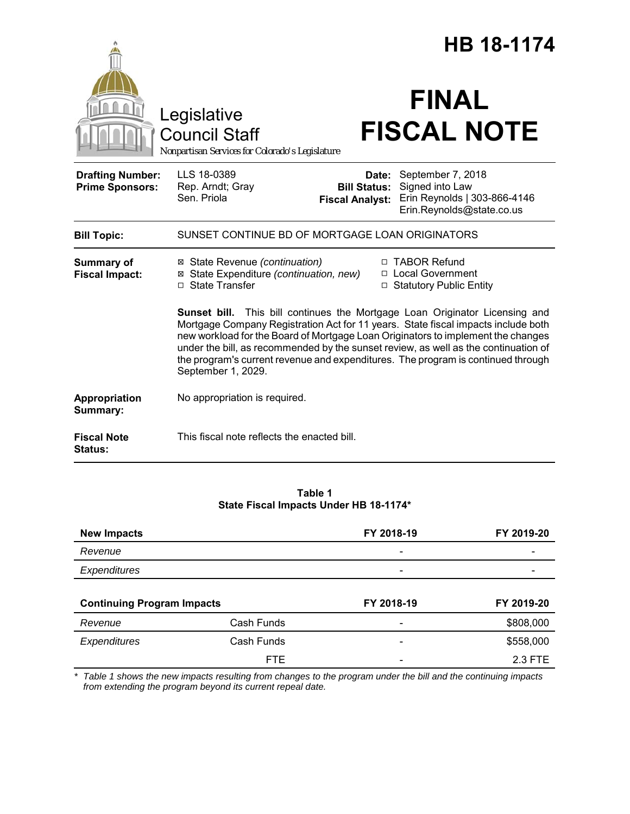|                                                   |                                                                                                                                                                                                                                                                                                                                                                                                                                                       |                                                        | <b>HB 18-1174</b>                                                                                 |  |
|---------------------------------------------------|-------------------------------------------------------------------------------------------------------------------------------------------------------------------------------------------------------------------------------------------------------------------------------------------------------------------------------------------------------------------------------------------------------------------------------------------------------|--------------------------------------------------------|---------------------------------------------------------------------------------------------------|--|
|                                                   | Legislative<br><b>Council Staff</b><br>Nonpartisan Services for Colorado's Legislature                                                                                                                                                                                                                                                                                                                                                                |                                                        | <b>FINAL</b><br><b>FISCAL NOTE</b>                                                                |  |
| <b>Drafting Number:</b><br><b>Prime Sponsors:</b> | LLS 18-0389<br>Rep. Arndt; Gray<br>Sen. Priola                                                                                                                                                                                                                                                                                                                                                                                                        | Date:<br><b>Bill Status:</b><br><b>Fiscal Analyst:</b> | September 7, 2018<br>Signed into Law<br>Erin Reynolds   303-866-4146<br>Erin.Reynolds@state.co.us |  |
| <b>Bill Topic:</b>                                | SUNSET CONTINUE BD OF MORTGAGE LOAN ORIGINATORS                                                                                                                                                                                                                                                                                                                                                                                                       |                                                        |                                                                                                   |  |
| Summary of<br><b>Fiscal Impact:</b>               | ⊠ State Revenue (continuation)<br>⊠ State Expenditure (continuation, new)<br>$\Box$ State Transfer                                                                                                                                                                                                                                                                                                                                                    |                                                        | □ TABOR Refund<br>□ Local Government<br>□ Statutory Public Entity                                 |  |
|                                                   | Sunset bill. This bill continues the Mortgage Loan Originator Licensing and<br>Mortgage Company Registration Act for 11 years. State fiscal impacts include both<br>new workload for the Board of Mortgage Loan Originators to implement the changes<br>under the bill, as recommended by the sunset review, as well as the continuation of<br>the program's current revenue and expenditures. The program is continued through<br>September 1, 2029. |                                                        |                                                                                                   |  |
| Appropriation<br>Summary:                         | No appropriation is required.                                                                                                                                                                                                                                                                                                                                                                                                                         |                                                        |                                                                                                   |  |
| <b>Fiscal Note</b><br>Status:                     | This fiscal note reflects the enacted bill.                                                                                                                                                                                                                                                                                                                                                                                                           |                                                        |                                                                                                   |  |

# **Table 1 State Fiscal Impacts Under HB 18-1174\***

| <b>New Impacts</b>                |            | FY 2018-19               | FY 2019-20 |
|-----------------------------------|------------|--------------------------|------------|
| Revenue                           |            | $\overline{\phantom{a}}$ |            |
| Expenditures                      |            |                          |            |
|                                   |            |                          |            |
|                                   |            |                          |            |
| <b>Continuing Program Impacts</b> |            | FY 2018-19               | FY 2019-20 |
| Revenue                           | Cash Funds |                          | \$808,000  |
| <b>Expenditures</b>               | Cash Funds |                          | \$558,000  |

*\* Table 1 shows the new impacts resulting from changes to the program under the bill and the continuing impacts from extending the program beyond its current repeal date.*